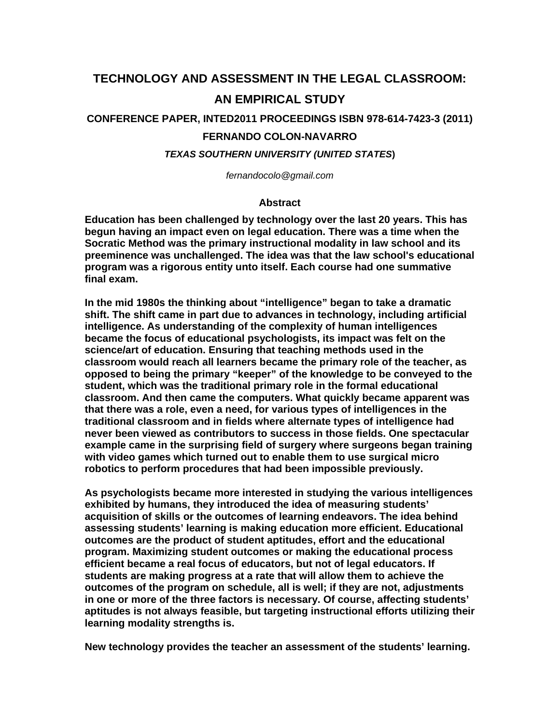# **TECHNOLOGY AND ASSESSMENT IN THE LEGAL CLASSROOM: AN EMPIRICAL STUDY**

**CONFERENCE PAPER, INTED2011 PROCEEDINGS ISBN 978-614-7423-3 (2011)**

# **FERNANDO COLON-NAVARRO**

*TEXAS SOUTHERN UNIVERSITY (UNITED STATES***)** 

*fernandocolo@gmail.com* 

### **Abstract**

**Education has been challenged by technology over the last 20 years. This has begun having an impact even on legal education. There was a time when the Socratic Method was the primary instructional modality in law school and its preeminence was unchallenged. The idea was that the law school's educational program was a rigorous entity unto itself. Each course had one summative final exam.** 

**In the mid 1980s the thinking about "intelligence" began to take a dramatic shift. The shift came in part due to advances in technology, including artificial intelligence. As understanding of the complexity of human intelligences became the focus of educational psychologists, its impact was felt on the science/art of education. Ensuring that teaching methods used in the classroom would reach all learners became the primary role of the teacher, as opposed to being the primary "keeper" of the knowledge to be conveyed to the student, which was the traditional primary role in the formal educational classroom. And then came the computers. What quickly became apparent was that there was a role, even a need, for various types of intelligences in the traditional classroom and in fields where alternate types of intelligence had never been viewed as contributors to success in those fields. One spectacular example came in the surprising field of surgery where surgeons began training with video games which turned out to enable them to use surgical micro robotics to perform procedures that had been impossible previously.** 

**As psychologists became more interested in studying the various intelligences exhibited by humans, they introduced the idea of measuring students' acquisition of skills or the outcomes of learning endeavors. The idea behind assessing students' learning is making education more efficient. Educational outcomes are the product of student aptitudes, effort and the educational program. Maximizing student outcomes or making the educational process efficient became a real focus of educators, but not of legal educators. If students are making progress at a rate that will allow them to achieve the outcomes of the program on schedule, all is well; if they are not, adjustments in one or more of the three factors is necessary. Of course, affecting students' aptitudes is not always feasible, but targeting instructional efforts utilizing their learning modality strengths is.** 

**New technology provides the teacher an assessment of the students' learning.**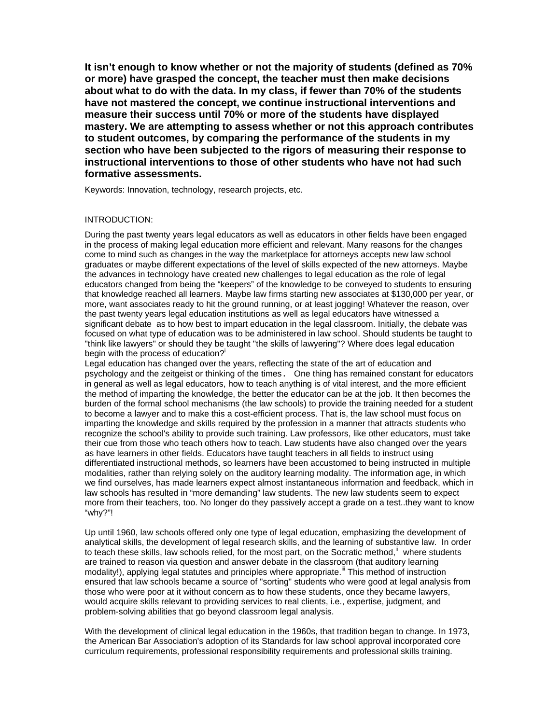**It isn't enough to know whether or not the majority of students (defined as 70% or more) have grasped the concept, the teacher must then make decisions about what to do with the data. In my class, if fewer than 70% of the students have not mastered the concept, we continue instructional interventions and measure their success until 70% or more of the students have displayed mastery. We are attempting to assess whether or not this approach contributes to student outcomes, by comparing the performance of the students in my section who have been subjected to the rigors of measuring their response to instructional interventions to those of other students who have not had such formative assessments.** 

Keywords: Innovation, technology, research projects, etc.

#### INTRODUCTION:

During the past twenty years legal educators as well as educators in other fields have been engaged in the process of making legal education more efficient and relevant. Many reasons for the changes come to mind such as changes in the way the marketplace for attorneys accepts new law school graduates or maybe different expectations of the level of skills expected of the new attorneys. Maybe the advances in technology have created new challenges to legal education as the role of legal educators changed from being the "keepers" of the knowledge to be conveyed to students to ensuring that knowledge reached all learners. Maybe law firms starting new associates at \$130,000 per year, or more, want associates ready to hit the ground running, or at least jogging! Whatever the reason, over the past twenty years legal education institutions as well as legal educators have witnessed a significant debate as to how best to impart education in the legal classroom. Initially, the debate was focused on what type of education was to be administered in law school. Should students be taught to "think like lawyers" or should they be taught "the skills of lawyering"? Where does legal education begin with the process of education?<sup>i</sup>

Legal education has changed over the years, reflecting the state of the art of education and psychology and the zeitgeist or thinking of the times. One thing has remained constant for educators in general as well as legal educators, how to teach anything is of vital interest, and the more efficient the method of imparting the knowledge, the better the educator can be at the job. It then becomes the burden of the formal school mechanisms (the law schools) to provide the training needed for a student to become a lawyer and to make this a cost-efficient process. That is, the law school must focus on imparting the knowledge and skills required by the profession in a manner that attracts students who recognize the school's ability to provide such training. Law professors, like other educators, must take their cue from those who teach others how to teach. Law students have also changed over the years as have learners in other fields. Educators have taught teachers in all fields to instruct using differentiated instructional methods, so learners have been accustomed to being instructed in multiple modalities, rather than relying solely on the auditory learning modality. The information age, in which we find ourselves, has made learners expect almost instantaneous information and feedback, which in law schools has resulted in "more demanding" law students. The new law students seem to expect more from their teachers, too. No longer do they passively accept a grade on a test..they want to know "why?"!

Up until 1960, law schools offered only one type of legal education, emphasizing the development of analytical skills, the development of legal research skills, and the learning of substantive law. In order to teach these skills, law schools relied, for the most part, on the Socratic method,<sup>ii</sup> where students are trained to reason via question and answer debate in the classroom (that auditory learning modality!), applying legal statutes and principles where appropriate.<sup>iii</sup> This method of instruction ensured that law schools became a source of "sorting" students who were good at legal analysis from those who were poor at it without concern as to how these students, once they became lawyers, would acquire skills relevant to providing services to real clients, i.e., expertise, judgment, and problem-solving abilities that go beyond classroom legal analysis.

With the development of clinical legal education in the 1960s, that tradition began to change. In 1973, the American Bar Association's adoption of its Standards for law school approval incorporated core curriculum requirements, professional responsibility requirements and professional skills training.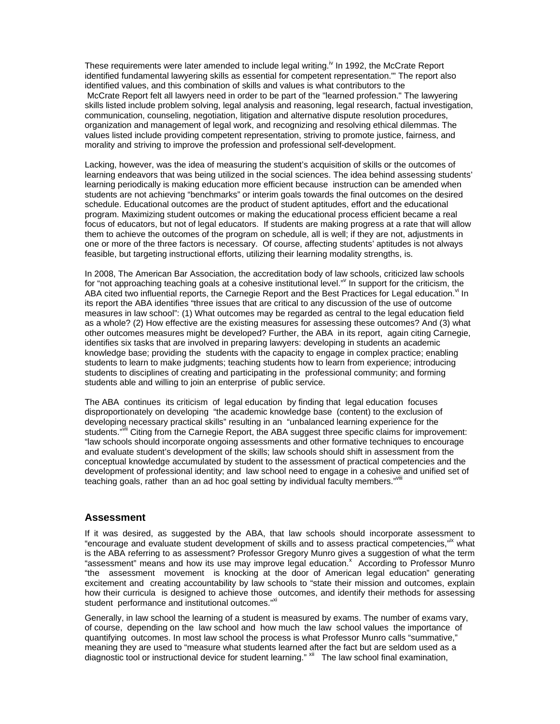These requirements were later amended to include legal writing.<sup>iv</sup> In 1992, the McCrate Report identified fundamental lawyering skills as essential for competent representation."' The report also identified values, and this combination of skills and values is what contributors to the McCrate Report felt all lawyers need in order to be part of the "learned profession." The lawyering skills listed include problem solving, legal analysis and reasoning, legal research, factual investigation, communication, counseling, negotiation, litigation and alternative dispute resolution procedures, organization and management of legal work, and recognizing and resolving ethical dilemmas. The values listed include providing competent representation, striving to promote justice, fairness, and morality and striving to improve the profession and professional self-development.

Lacking, however, was the idea of measuring the student's acquisition of skills or the outcomes of learning endeavors that was being utilized in the social sciences. The idea behind assessing students' learning periodically is making education more efficient because instruction can be amended when students are not achieving "benchmarks" or interim goals towards the final outcomes on the desired schedule. Educational outcomes are the product of student aptitudes, effort and the educational program. Maximizing student outcomes or making the educational process efficient became a real focus of educators, but not of legal educators. If students are making progress at a rate that will allow them to achieve the outcomes of the program on schedule, all is well; if they are not, adjustments in one or more of the three factors is necessary. Of course, affecting students' aptitudes is not always feasible, but targeting instructional efforts, utilizing their learning modality strengths, is.

In 2008, The American Bar Association, the accreditation body of law schools, criticized law schools for "not approaching teaching goals at a cohesive institutional level." In support for the criticism, the ABA cited two influential reports, the Carnegie Report and the Best Practices for Legal education.<sup>vi</sup> In its report the ABA identifies "three issues that are critical to any discussion of the use of outcome measures in law school": (1) What outcomes may be regarded as central to the legal education field as a whole? (2) How effective are the existing measures for assessing these outcomes? And (3) what other outcomes measures might be developed? Further, the ABA in its report, again citing Carnegie, identifies six tasks that are involved in preparing lawyers: developing in students an academic knowledge base; providing the students with the capacity to engage in complex practice; enabling students to learn to make judgments; teaching students how to learn from experience; introducing students to disciplines of creating and participating in the professional community; and forming students able and willing to join an enterprise of public service.

The ABA continues its criticism of legal education by finding that legal education focuses disproportionately on developing "the academic knowledge base (content) to the exclusion of developing necessary practical skills" resulting in an "unbalanced learning experience for the students."<sup>VII</sup> Citing from the Carnegie Report, the ABA suggest three specific claims for improvement: "law schools should incorporate ongoing assessments and other formative techniques to encourage and evaluate student's development of the skills; law schools should shift in assessment from the conceptual knowledge accumulated by student to the assessment of practical competencies and the development of professional identity; and law school need to engage in a cohesive and unified set of teaching goals, rather than an ad hoc goal setting by individual faculty members."<sup>VIII</sup>

#### **Assessment**

If it was desired, as suggested by the ABA, that law schools should incorporate assessment to "encourage and evaluate student development of skills and to assess practical competencies,"<sup>ix</sup> what is the ABA referring to as assessment? Professor Gregory Munro gives a suggestion of what the term "assessment" means and how its use may improve legal education.<sup>x</sup> According to Professor Munro "the assessment movement is knocking at the door of American legal education" generating excitement and creating accountability by law schools to "state their mission and outcomes, explain how their curricula is designed to achieve those outcomes, and identify their methods for assessing student performance and institutional outcomes."<sup>xi</sup>

Generally, in law school the learning of a student is measured by exams. The number of exams vary, of course, depending on the law school and how much the law school values the importance of quantifying outcomes. In most law school the process is what Professor Munro calls "summative," meaning they are used to "measure what students learned after the fact but are seldom used as a diagnostic tool or instructional device for student learning." Xii The law school final examination,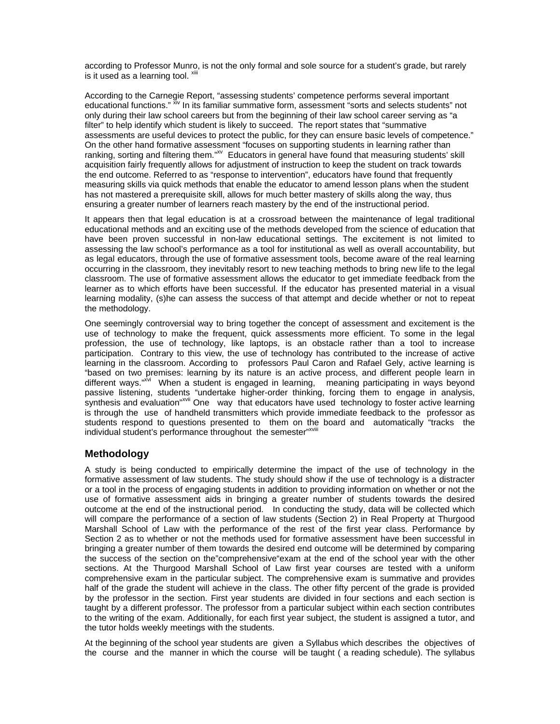according to Professor Munro, is not the only formal and sole source for a student's grade, but rarely is it used as a learning tool. Xiii

According to the Carnegie Report, "assessing students' competence performs several important educational functions." XIV In its familiar summative form, assessment "sorts and selects students" not only during their law school careers but from the beginning of their law school career serving as "a filter" to help identify which student is likely to succeed. The report states that "summative assessments are useful devices to protect the public, for they can ensure basic levels of competence." On the other hand formative assessment "focuses on supporting students in learning rather than ranking, sorting and filtering them."<sup>XV</sup> Educators in general have found that measuring students' skill acquisition fairly frequently allows for adjustment of instruction to keep the student on track towards the end outcome. Referred to as "response to intervention", educators have found that frequently measuring skills via quick methods that enable the educator to amend lesson plans when the student has not mastered a prerequisite skill, allows for much better mastery of skills along the way, thus ensuring a greater number of learners reach mastery by the end of the instructional period.

It appears then that legal education is at a crossroad between the maintenance of legal traditional educational methods and an exciting use of the methods developed from the science of education that have been proven successful in non-law educational settings. The excitement is not limited to assessing the law school's performance as a tool for institutional as well as overall accountability, but as legal educators, through the use of formative assessment tools, become aware of the real learning occurring in the classroom, they inevitably resort to new teaching methods to bring new life to the legal classroom. The use of formative assessment allows the educator to get immediate feedback from the learner as to which efforts have been successful. If the educator has presented material in a visual learning modality, (s)he can assess the success of that attempt and decide whether or not to repeat the methodology.

One seemingly controversial way to bring together the concept of assessment and excitement is the use of technology to make the frequent, quick assessments more efficient. To some in the legal profession, the use of technology, like laptops, is an obstacle rather than a tool to increase participation. Contrary to this view, the use of technology has contributed to the increase of active learning in the classroom. According to professors Paul Caron and Rafael Gely, active learning is "based on two premises: learning by its nature is an active process, and different people learn in different ways."Xvi When a student is engaged in learning, meaning participating in ways beyond passive listening, students "undertake higher-order thinking, forcing them to engage in analysis, synthesis and evaluation"<sup>xvii</sup> One way that educators have used technology to foster active learning is through the use of handheld transmitters which provide immediate feedback to the professor as students respond to questions presented to them on the board and automatically "tracks the individual student's performance throughout the semester"xviii

#### **Methodology**

A study is being conducted to empirically determine the impact of the use of technology in the formative assessment of law students. The study should show if the use of technology is a distracter or a tool in the process of engaging students in addition to providing information on whether or not the use of formative assessment aids in bringing a greater number of students towards the desired outcome at the end of the instructional period. In conducting the study, data will be collected which will compare the performance of a section of law students (Section 2) in Real Property at Thurgood Marshall School of Law with the performance of the rest of the first year class. Performance by Section 2 as to whether or not the methods used for formative assessment have been successful in bringing a greater number of them towards the desired end outcome will be determined by comparing the success of the section on the"comprehensive"exam at the end of the school year with the other sections. At the Thurgood Marshall School of Law first year courses are tested with a uniform comprehensive exam in the particular subject. The comprehensive exam is summative and provides half of the grade the student will achieve in the class. The other fifty percent of the grade is provided by the professor in the section. First year students are divided in four sections and each section is taught by a different professor. The professor from a particular subject within each section contributes to the writing of the exam. Additionally, for each first year subject, the student is assigned a tutor, and the tutor holds weekly meetings with the students.

At the beginning of the school year students are given a Syllabus which describes the objectives of the course and the manner in which the course will be taught ( a reading schedule). The syllabus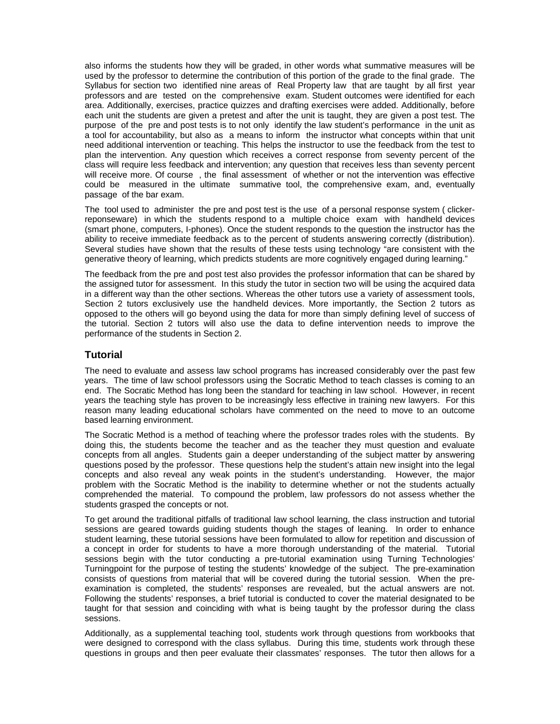also informs the students how they will be graded, in other words what summative measures will be used by the professor to determine the contribution of this portion of the grade to the final grade. The Syllabus for section two identified nine areas of Real Property law that are taught by all first year professors and are tested on the comprehensive exam. Student outcomes were identified for each area. Additionally, exercises, practice quizzes and drafting exercises were added. Additionally, before each unit the students are given a pretest and after the unit is taught, they are given a post test. The purpose of the pre and post tests is to not only identify the law student's performance in the unit as a tool for accountability, but also as a means to inform the instructor what concepts within that unit need additional intervention or teaching. This helps the instructor to use the feedback from the test to plan the intervention. Any question which receives a correct response from seventy percent of the class will require less feedback and intervention; any question that receives less than seventy percent will receive more. Of course , the final assessment of whether or not the intervention was effective could be measured in the ultimate summative tool, the comprehensive exam, and, eventually passage of the bar exam.

The tool used to administer the pre and post test is the use of a personal response system ( clickerreponseware) in which the students respond to a multiple choice exam with handheld devices (smart phone, computers, I-phones). Once the student responds to the question the instructor has the ability to receive immediate feedback as to the percent of students answering correctly (distribution). Several studies have shown that the results of these tests using technology "are consistent with the generative theory of learning, which predicts students are more cognitively engaged during learning."

The feedback from the pre and post test also provides the professor information that can be shared by the assigned tutor for assessment. In this study the tutor in section two will be using the acquired data in a different way than the other sections. Whereas the other tutors use a variety of assessment tools, Section 2 tutors exclusively use the handheld devices. More importantly, the Section 2 tutors as opposed to the others will go beyond using the data for more than simply defining level of success of the tutorial. Section 2 tutors will also use the data to define intervention needs to improve the performance of the students in Section 2.

# **Tutorial**

The need to evaluate and assess law school programs has increased considerably over the past few years. The time of law school professors using the Socratic Method to teach classes is coming to an end. The Socratic Method has long been the standard for teaching in law school. However, in recent years the teaching style has proven to be increasingly less effective in training new lawyers. For this reason many leading educational scholars have commented on the need to move to an outcome based learning environment.

The Socratic Method is a method of teaching where the professor trades roles with the students. By doing this, the students become the teacher and as the teacher they must question and evaluate concepts from all angles. Students gain a deeper understanding of the subject matter by answering questions posed by the professor. These questions help the student's attain new insight into the legal concepts and also reveal any weak points in the student's understanding. However, the major problem with the Socratic Method is the inability to determine whether or not the students actually comprehended the material. To compound the problem, law professors do not assess whether the students grasped the concepts or not.

To get around the traditional pitfalls of traditional law school learning, the class instruction and tutorial sessions are geared towards guiding students though the stages of leaning. In order to enhance student learning, these tutorial sessions have been formulated to allow for repetition and discussion of a concept in order for students to have a more thorough understanding of the material. Tutorial sessions begin with the tutor conducting a pre-tutorial examination using Turning Technologies' Turningpoint for the purpose of testing the students' knowledge of the subject. The pre-examination consists of questions from material that will be covered during the tutorial session. When the preexamination is completed, the students' responses are revealed, but the actual answers are not. Following the students' responses, a brief tutorial is conducted to cover the material designated to be taught for that session and coinciding with what is being taught by the professor during the class sessions.

Additionally, as a supplemental teaching tool, students work through questions from workbooks that were designed to correspond with the class syllabus. During this time, students work through these questions in groups and then peer evaluate their classmates' responses. The tutor then allows for a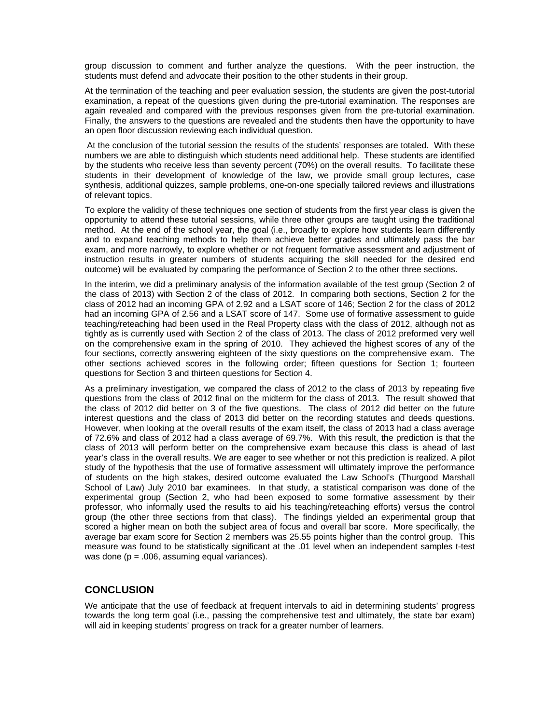group discussion to comment and further analyze the questions. With the peer instruction, the students must defend and advocate their position to the other students in their group.

At the termination of the teaching and peer evaluation session, the students are given the post-tutorial examination, a repeat of the questions given during the pre-tutorial examination. The responses are again revealed and compared with the previous responses given from the pre-tutorial examination. Finally, the answers to the questions are revealed and the students then have the opportunity to have an open floor discussion reviewing each individual question.

 At the conclusion of the tutorial session the results of the students' responses are totaled. With these numbers we are able to distinguish which students need additional help. These students are identified by the students who receive less than seventy percent (70%) on the overall results. To facilitate these students in their development of knowledge of the law, we provide small group lectures, case synthesis, additional quizzes, sample problems, one-on-one specially tailored reviews and illustrations of relevant topics.

To explore the validity of these techniques one section of students from the first year class is given the opportunity to attend these tutorial sessions, while three other groups are taught using the traditional method. At the end of the school year, the goal (i.e., broadly to explore how students learn differently and to expand teaching methods to help them achieve better grades and ultimately pass the bar exam, and more narrowly, to explore whether or not frequent formative assessment and adjustment of instruction results in greater numbers of students acquiring the skill needed for the desired end outcome) will be evaluated by comparing the performance of Section 2 to the other three sections.

In the interim, we did a preliminary analysis of the information available of the test group (Section 2 of the class of 2013) with Section 2 of the class of 2012. In comparing both sections, Section 2 for the class of 2012 had an incoming GPA of 2.92 and a LSAT score of 146; Section 2 for the class of 2012 had an incoming GPA of 2.56 and a LSAT score of 147. Some use of formative assessment to guide teaching/reteaching had been used in the Real Property class with the class of 2012, although not as tightly as is currently used with Section 2 of the class of 2013. The class of 2012 preformed very well on the comprehensive exam in the spring of 2010. They achieved the highest scores of any of the four sections, correctly answering eighteen of the sixty questions on the comprehensive exam. The other sections achieved scores in the following order; fifteen questions for Section 1; fourteen questions for Section 3 and thirteen questions for Section 4.

As a preliminary investigation, we compared the class of 2012 to the class of 2013 by repeating five questions from the class of 2012 final on the midterm for the class of 2013. The result showed that the class of 2012 did better on 3 of the five questions. The class of 2012 did better on the future interest questions and the class of 2013 did better on the recording statutes and deeds questions. However, when looking at the overall results of the exam itself, the class of 2013 had a class average of 72.6% and class of 2012 had a class average of 69.7%. With this result, the prediction is that the class of 2013 will perform better on the comprehensive exam because this class is ahead of last year's class in the overall results. We are eager to see whether or not this prediction is realized. A pilot study of the hypothesis that the use of formative assessment will ultimately improve the performance of students on the high stakes, desired outcome evaluated the Law School's (Thurgood Marshall School of Law) July 2010 bar examinees. In that study, a statistical comparison was done of the experimental group (Section 2, who had been exposed to some formative assessment by their professor, who informally used the results to aid his teaching/reteaching efforts) versus the control group (the other three sections from that class). The findings yielded an experimental group that scored a higher mean on both the subject area of focus and overall bar score. More specifically, the average bar exam score for Section 2 members was 25.55 points higher than the control group. This measure was found to be statistically significant at the .01 level when an independent samples t-test was done ( $p = .006$ , assuming equal variances).

# **CONCLUSION**

We anticipate that the use of feedback at frequent intervals to aid in determining students' progress towards the long term goal (i.e., passing the comprehensive test and ultimately, the state bar exam) will aid in keeping students' progress on track for a greater number of learners.